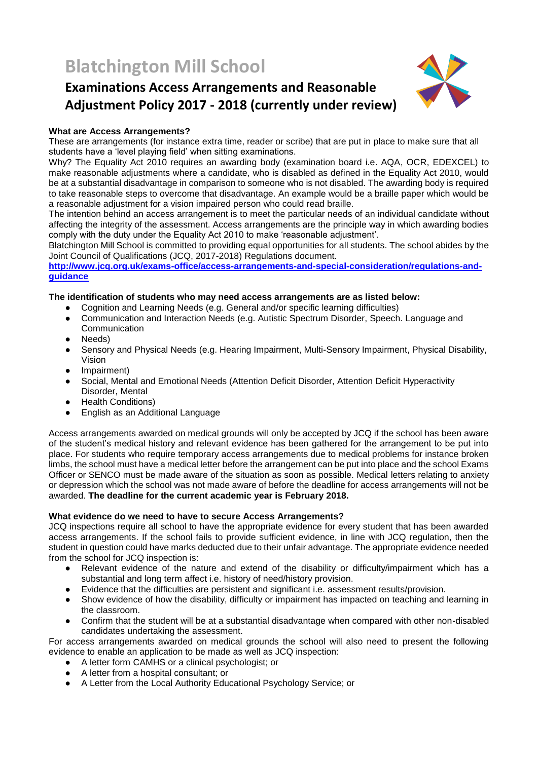# **Blatchington Mill School**

# **Examinations Access Arrangements and Reasonable Adjustment Policy 2017 - 2018 (currently under review)**



# **What are Access Arrangements?**

These are arrangements (for instance extra time, reader or scribe) that are put in place to make sure that all students have a 'level playing field' when sitting examinations.

Why? The Equality Act 2010 requires an awarding body (examination board i.e. AQA, OCR, EDEXCEL) to make reasonable adjustments where a candidate, who is disabled as defined in the Equality Act 2010, would be at a substantial disadvantage in comparison to someone who is not disabled. The awarding body is required to take reasonable steps to overcome that disadvantage. An example would be a braille paper which would be a reasonable adjustment for a vision impaired person who could read braille.

The intention behind an access arrangement is to meet the particular needs of an individual candidate without affecting the integrity of the assessment. Access arrangements are the principle way in which awarding bodies comply with the duty under the Equality Act 2010 to make 'reasonable adjustment'.

Blatchington Mill School is committed to providing equal opportunities for all students. The school abides by the Joint Council of Qualifications (JCQ, 2017-2018) Regulations document.

**[http://www.jcq.org.uk/exams-office/access-arrangements-and-special-consideration/regulations-and](http://www.jcq.org.uk/exams-office/access-arrangements-and-special-consideration/regulations-and-guidance)[guidance](http://www.jcq.org.uk/exams-office/access-arrangements-and-special-consideration/regulations-and-guidance)**

# **The identification of students who may need access arrangements are as listed below:**

- Cognition and Learning Needs (e.g. General and/or specific learning difficulties)
- Communication and Interaction Needs (e.g. Autistic Spectrum Disorder, Speech. Language and **Communication**
- Needs)
- Sensory and Physical Needs (e.g. Hearing Impairment, Multi-Sensory Impairment, Physical Disability, Vision
- Impairment)
- Social, Mental and Emotional Needs (Attention Deficit Disorder, Attention Deficit Hyperactivity Disorder, Mental
- Health Conditions)
- **English as an Additional Language**

Access arrangements awarded on medical grounds will only be accepted by JCQ if the school has been aware of the student's medical history and relevant evidence has been gathered for the arrangement to be put into place. For students who require temporary access arrangements due to medical problems for instance broken limbs, the school must have a medical letter before the arrangement can be put into place and the school Exams Officer or SENCO must be made aware of the situation as soon as possible. Medical letters relating to anxiety or depression which the school was not made aware of before the deadline for access arrangements will not be awarded. **The deadline for the current academic year is February 2018.**

# **What evidence do we need to have to secure Access Arrangements?**

JCQ inspections require all school to have the appropriate evidence for every student that has been awarded access arrangements. If the school fails to provide sufficient evidence, in line with JCQ regulation, then the student in question could have marks deducted due to their unfair advantage. The appropriate evidence needed from the school for JCQ inspection is:

- Relevant evidence of the nature and extend of the disability or difficulty/impairment which has a substantial and long term affect i.e. history of need/history provision.
- Evidence that the difficulties are persistent and significant i.e. assessment results/provision.
- Show evidence of how the disability, difficulty or impairment has impacted on teaching and learning in the classroom.
- Confirm that the student will be at a substantial disadvantage when compared with other non-disabled candidates undertaking the assessment.

For access arrangements awarded on medical grounds the school will also need to present the following evidence to enable an application to be made as well as JCQ inspection:

- A letter form CAMHS or a clinical psychologist; or
- A letter from a hospital consultant; or
- A Letter from the Local Authority Educational Psychology Service; or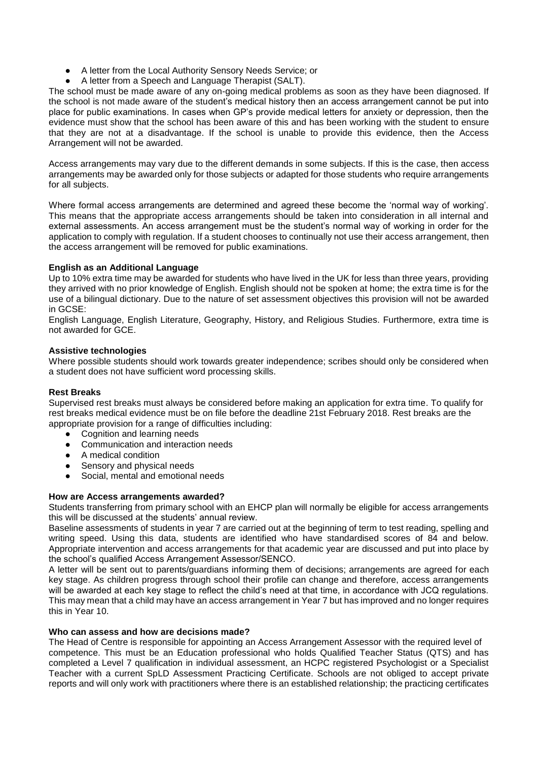- A letter from the Local Authority Sensory Needs Service; or
- A letter from a Speech and Language Therapist (SALT).

The school must be made aware of any on-going medical problems as soon as they have been diagnosed. If the school is not made aware of the student's medical history then an access arrangement cannot be put into place for public examinations. In cases when GP's provide medical letters for anxiety or depression, then the evidence must show that the school has been aware of this and has been working with the student to ensure that they are not at a disadvantage. If the school is unable to provide this evidence, then the Access Arrangement will not be awarded.

Access arrangements may vary due to the different demands in some subjects. If this is the case, then access arrangements may be awarded only for those subjects or adapted for those students who require arrangements for all subjects.

Where formal access arrangements are determined and agreed these become the 'normal way of working'. This means that the appropriate access arrangements should be taken into consideration in all internal and external assessments. An access arrangement must be the student's normal way of working in order for the application to comply with regulation. If a student chooses to continually not use their access arrangement, then the access arrangement will be removed for public examinations.

# **English as an Additional Language**

Up to 10% extra time may be awarded for students who have lived in the UK for less than three years, providing they arrived with no prior knowledge of English. English should not be spoken at home; the extra time is for the use of a bilingual dictionary. Due to the nature of set assessment objectives this provision will not be awarded in GCSE:

English Language, English Literature, Geography, History, and Religious Studies. Furthermore, extra time is not awarded for GCE.

#### **Assistive technologies**

Where possible students should work towards greater independence; scribes should only be considered when a student does not have sufficient word processing skills.

#### **Rest Breaks**

Supervised rest breaks must always be considered before making an application for extra time. To qualify for rest breaks medical evidence must be on file before the deadline 21st February 2018. Rest breaks are the appropriate provision for a range of difficulties including:

- Cognition and learning needs
- Communication and interaction needs
- A medical condition
- Sensory and physical needs
- Social, mental and emotional needs

#### **How are Access arrangements awarded?**

Students transferring from primary school with an EHCP plan will normally be eligible for access arrangements this will be discussed at the students' annual review.

Baseline assessments of students in year 7 are carried out at the beginning of term to test reading, spelling and writing speed. Using this data, students are identified who have standardised scores of 84 and below. Appropriate intervention and access arrangements for that academic year are discussed and put into place by the school's qualified Access Arrangement Assessor/SENCO.

A letter will be sent out to parents/guardians informing them of decisions; arrangements are agreed for each key stage. As children progress through school their profile can change and therefore, access arrangements will be awarded at each key stage to reflect the child's need at that time, in accordance with JCQ regulations. This may mean that a child may have an access arrangement in Year 7 but has improved and no longer requires this in Year 10.

#### **Who can assess and how are decisions made?**

The Head of Centre is responsible for appointing an Access Arrangement Assessor with the required level of competence. This must be an Education professional who holds Qualified Teacher Status (QTS) and has completed a Level 7 qualification in individual assessment, an HCPC registered Psychologist or a Specialist Teacher with a current SpLD Assessment Practicing Certificate. Schools are not obliged to accept private reports and will only work with practitioners where there is an established relationship; the practicing certificates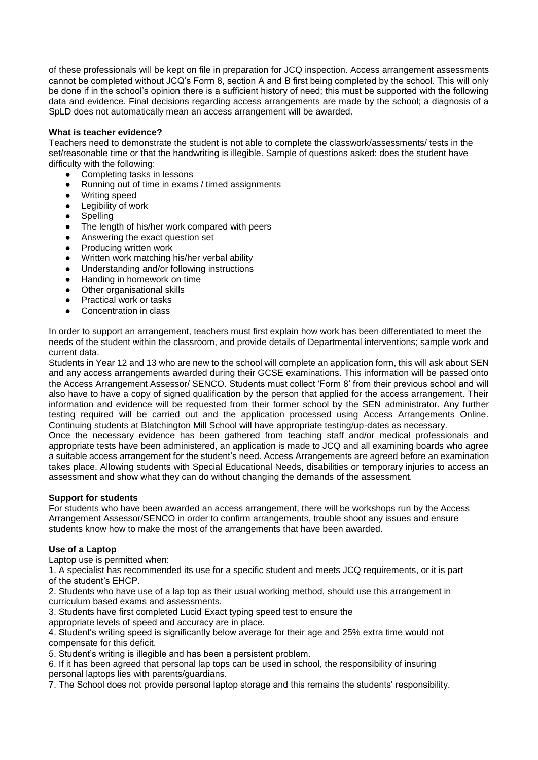of these professionals will be kept on file in preparation for JCQ inspection. Access arrangement assessments cannot be completed without JCQ's Form 8, section A and B first being completed by the school. This will only be done if in the school's opinion there is a sufficient history of need; this must be supported with the following data and evidence. Final decisions regarding access arrangements are made by the school; a diagnosis of a SpLD does not automatically mean an access arrangement will be awarded.

### **What is teacher evidence?**

Teachers need to demonstrate the student is not able to complete the classwork/assessments/ tests in the set/reasonable time or that the handwriting is illegible. Sample of questions asked: does the student have difficulty with the following:

- Completing tasks in lessons
- Running out of time in exams / timed assignments
- Writing speed
- Legibility of work
- Spelling
- The length of his/her work compared with peers
- Answering the exact question set
- Producing written work
- Written work matching his/her verbal ability
- Understanding and/or following instructions
- Handing in homework on time
- Other organisational skills
- Practical work or tasks
- Concentration in class

In order to support an arrangement, teachers must first explain how work has been differentiated to meet the needs of the student within the classroom, and provide details of Departmental interventions; sample work and current data.

Students in Year 12 and 13 who are new to the school will complete an application form, this will ask about SEN and any access arrangements awarded during their GCSE examinations. This information will be passed onto the Access Arrangement Assessor/ SENCO. Students must collect 'Form 8' from their previous school and will also have to have a copy of signed qualification by the person that applied for the access arrangement. Their information and evidence will be requested from their former school by the SEN administrator. Any further testing required will be carried out and the application processed using Access Arrangements Online. Continuing students at Blatchington Mill School will have appropriate testing/up-dates as necessary.

Once the necessary evidence has been gathered from teaching staff and/or medical professionals and appropriate tests have been administered, an application is made to JCQ and all examining boards who agree a suitable access arrangement for the student's need. Access Arrangements are agreed before an examination takes place. Allowing students with Special Educational Needs, disabilities or temporary injuries to access an assessment and show what they can do without changing the demands of the assessment.

#### **Support for students**

For students who have been awarded an access arrangement, there will be workshops run by the Access Arrangement Assessor/SENCO in order to confirm arrangements, trouble shoot any issues and ensure students know how to make the most of the arrangements that have been awarded.

#### **Use of a Laptop**

Laptop use is permitted when:

1. A specialist has recommended its use for a specific student and meets JCQ requirements, or it is part of the student's EHCP.

2. Students who have use of a lap top as their usual working method, should use this arrangement in curriculum based exams and assessments.

3. Students have first completed Lucid Exact typing speed test to ensure the

appropriate levels of speed and accuracy are in place.

4. Student's writing speed is significantly below average for their age and 25% extra time would not compensate for this deficit.

5. Student's writing is illegible and has been a persistent problem.

6. If it has been agreed that personal lap tops can be used in school, the responsibility of insuring personal laptops lies with parents/guardians.

7. The School does not provide personal laptop storage and this remains the students' responsibility.